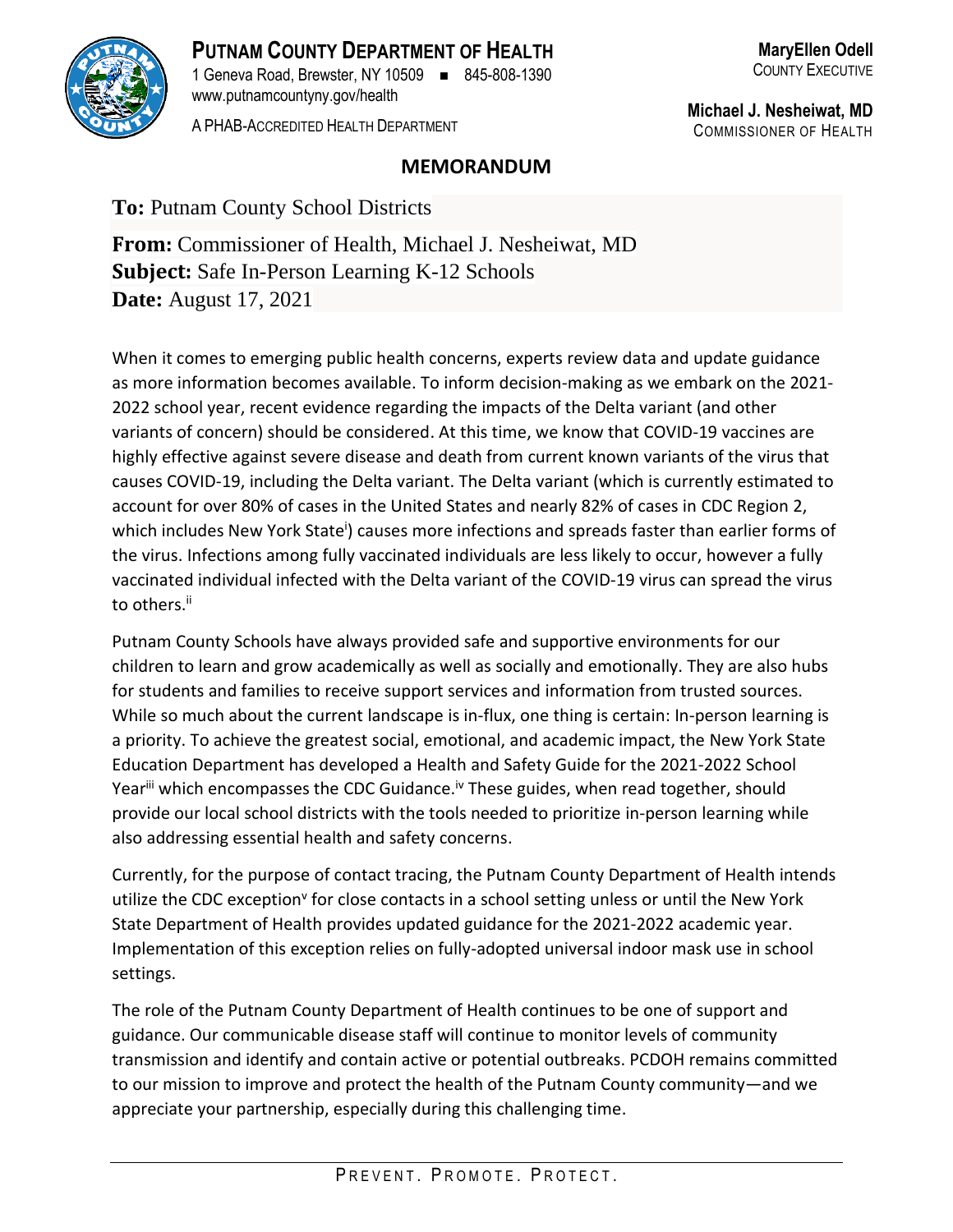

**PUTNAM COUNTY DEPARTMENT OF HEALTH** 1 Geneva Road, Brewster, NY 10509 ◼ 845-808-1390 www.putnamcountyny.gov/health

A PHAB-ACCREDITED HEALTH DEPARTMENT

**Michael J. Nesheiwat, MD** COMMISSIONER OF HEALTH

## **MEMORANDUM**

**To:** Putnam County School Districts

**From:** Commissioner of Health, Michael J. Nesheiwat, MD **Subject:** Safe In-Person Learning K-12 Schools **Date:** August 17, 2021

When it comes to emerging public health concerns, experts review data and update guidance as more information becomes available. To inform decision-making as we embark on the 2021- 2022 school year, recent evidence regarding the impacts of the Delta variant (and other variants of concern) should be considered. At this time, we know that COVID-19 vaccines are highly effective against severe disease and death from current known variants of the virus that causes COVID-19, including the Delta variant. The Delta variant (which is currently estimated to account for over 80% of cases in the United States and nearly 82% of cases in CDC Region 2, which includes New York State<sup>i</sup>) causes more infections and spreads faster than earlier forms of the virus. Infections among fully vaccinated individuals are less likely to occur, however a fully vaccinated individual infected with the Delta variant of the COVID-19 virus can spread the virus to others.<sup>ii</sup>

Putnam County Schools have always provided safe and supportive environments for our children to learn and grow academically as well as socially and emotionally. They are also hubs for students and families to receive support services and information from trusted sources. While so much about the current landscape is in-flux, one thing is certain: In-person learning is a priority. To achieve the greatest social, emotional, and academic impact, the New York State Education Department has developed a Health and Safety Guide for the 2021-2022 School Year<sup>iii</sup> which encompasses the CDC Guidance.<sup>iv</sup> These guides, when read together, should provide our local school districts with the tools needed to prioritize in-person learning while also addressing essential health and safety concerns.

Currently, for the purpose of contact tracing, the Putnam County Department of Health intends utilize the CDC exception<sup>v</sup> for close contacts in a school setting unless or until the New York State Department of Health provides updated guidance for the 2021-2022 academic year. Implementation of this exception relies on fully-adopted universal indoor mask use in school settings.

The role of the Putnam County Department of Health continues to be one of support and guidance. Our communicable disease staff will continue to monitor levels of community transmission and identify and contain active or potential outbreaks. PCDOH remains committed to our mission to improve and protect the health of the Putnam County community—and we appreciate your partnership, especially during this challenging time.